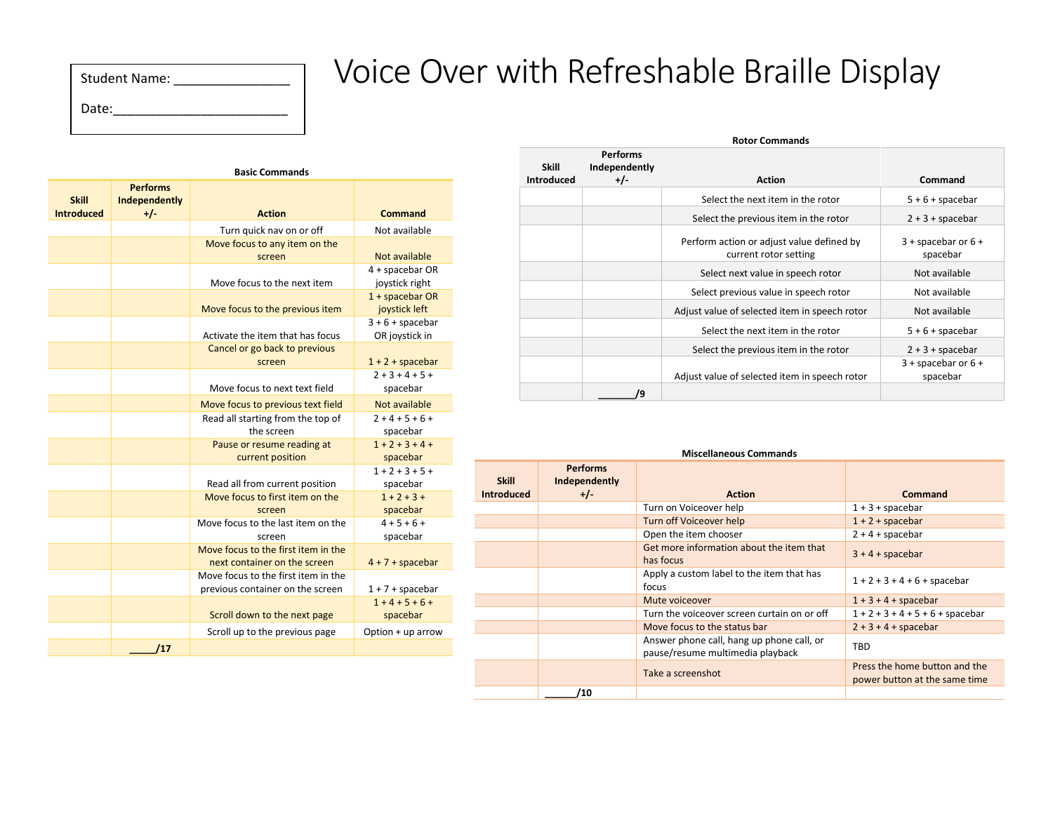| <b>Student Name:</b> |  |
|----------------------|--|
| Date:                |  |

## Voice Over with Refreshable Braille Display

| <b>Basic Commands</b>             |                                           |                                                                         |                                      |
|-----------------------------------|-------------------------------------------|-------------------------------------------------------------------------|--------------------------------------|
| <b>Skill</b><br><b>Introduced</b> | <b>Performs</b><br>Independently<br>$+/-$ | <b>Action</b>                                                           | Command                              |
|                                   |                                           | Turn quick nav on or off                                                | Not available                        |
|                                   |                                           | Move focus to any item on the                                           |                                      |
|                                   |                                           | screen                                                                  | Not available                        |
|                                   |                                           | Move focus to the next item                                             | 4 + spacebar OR<br>joystick right    |
|                                   |                                           | Move focus to the previous item                                         | $1 +$ spacebar OR<br>joystick left   |
|                                   |                                           | Activate the item that has focus                                        | $3 + 6 + spacebar$<br>OR joystick in |
|                                   |                                           | Cancel or go back to previous<br>screen                                 | $1 + 2 + spacebar$                   |
|                                   |                                           | Move focus to next text field                                           | $2 + 3 + 4 + 5 +$<br>spacebar        |
|                                   |                                           | Move focus to previous text field                                       | Not available                        |
|                                   |                                           | Read all starting from the top of<br>the screen                         | $2 + 4 + 5 + 6 +$<br>spacebar        |
|                                   |                                           | Pause or resume reading at<br>current position                          | $1 + 2 + 3 + 4 +$<br>spacebar        |
|                                   |                                           | Read all from current position                                          | $1 + 2 + 3 + 5 +$<br>spacebar        |
|                                   |                                           | Move focus to first item on the<br>screen                               | $1 + 2 + 3 +$<br>spacebar            |
|                                   |                                           | Move focus to the last item on the<br>screen                            | $4 + 5 + 6 +$<br>spacebar            |
|                                   |                                           | Move focus to the first item in the<br>next container on the screen     | $4 + 7 + spacebar$                   |
|                                   |                                           | Move focus to the first item in the<br>previous container on the screen | $1 + 7 +$ spacebar                   |
|                                   |                                           | Scroll down to the next page                                            | $1 + 4 + 5 + 6 +$<br>spacebar        |
|                                   |                                           | Scroll up to the previous page                                          | Option + up arrow                    |
|                                   | /17                                       |                                                                         |                                      |

| <b>Skill</b>      | <b>Performs</b><br>Independently |                                                                    |                                     |
|-------------------|----------------------------------|--------------------------------------------------------------------|-------------------------------------|
| <b>Introduced</b> | $+/-$                            | <b>Action</b>                                                      | Command                             |
|                   |                                  | Select the next item in the rotor                                  | $5 + 6 + spacebar$                  |
|                   |                                  | Select the previous item in the rotor                              | $2 + 3 +$ spacebar                  |
|                   |                                  | Perform action or adjust value defined by<br>current rotor setting | $3 +$ spacebar or $6 +$<br>spacebar |
|                   |                                  | Select next value in speech rotor                                  | Not available                       |
|                   |                                  | Select previous value in speech rotor                              | Not available                       |
|                   |                                  | Adjust value of selected item in speech rotor                      | Not available                       |
|                   |                                  | Select the next item in the rotor                                  | $5 + 6 +$ spacebar                  |
|                   |                                  | Select the previous item in the rotor                              | $2 + 3 +$ spacebar                  |
|                   |                                  | Adjust value of selected item in speech rotor                      | $3 +$ spacebar or $6 +$<br>spacebar |
|                   | 'q                               |                                                                    |                                     |

|                                   | <b>Miscellaneous Commands</b>             |                                                                               |                                                                |  |
|-----------------------------------|-------------------------------------------|-------------------------------------------------------------------------------|----------------------------------------------------------------|--|
| <b>Skill</b><br><b>Introduced</b> | <b>Performs</b><br>Independently<br>$+/-$ | <b>Action</b>                                                                 | Command                                                        |  |
|                                   |                                           | Turn on Voiceover help                                                        | $1 + 3 +$ spacebar                                             |  |
|                                   |                                           | Turn off Voiceover help                                                       | $1 + 2 + spacebar$                                             |  |
|                                   |                                           | Open the item chooser                                                         | $2 + 4 + spacebar$                                             |  |
|                                   |                                           | Get more information about the item that<br>has focus                         | $3 + 4 + spacebar$                                             |  |
|                                   |                                           | Apply a custom label to the item that has<br>focus                            | $1 + 2 + 3 + 4 + 6 +$ spacebar                                 |  |
|                                   |                                           | Mute voiceover                                                                | $1 + 3 + 4 + spacebar$                                         |  |
|                                   |                                           | Turn the voiceover screen curtain on or off                                   | $1 + 2 + 3 + 4 + 5 + 6 +$ spacebar                             |  |
|                                   |                                           | Move focus to the status bar                                                  | $2 + 3 + 4 + spacebar$                                         |  |
|                                   |                                           | Answer phone call, hang up phone call, or<br>pause/resume multimedia playback | TBD                                                            |  |
|                                   |                                           | Take a screenshot                                                             | Press the home button and the<br>power button at the same time |  |
|                                   | '10                                       |                                                                               |                                                                |  |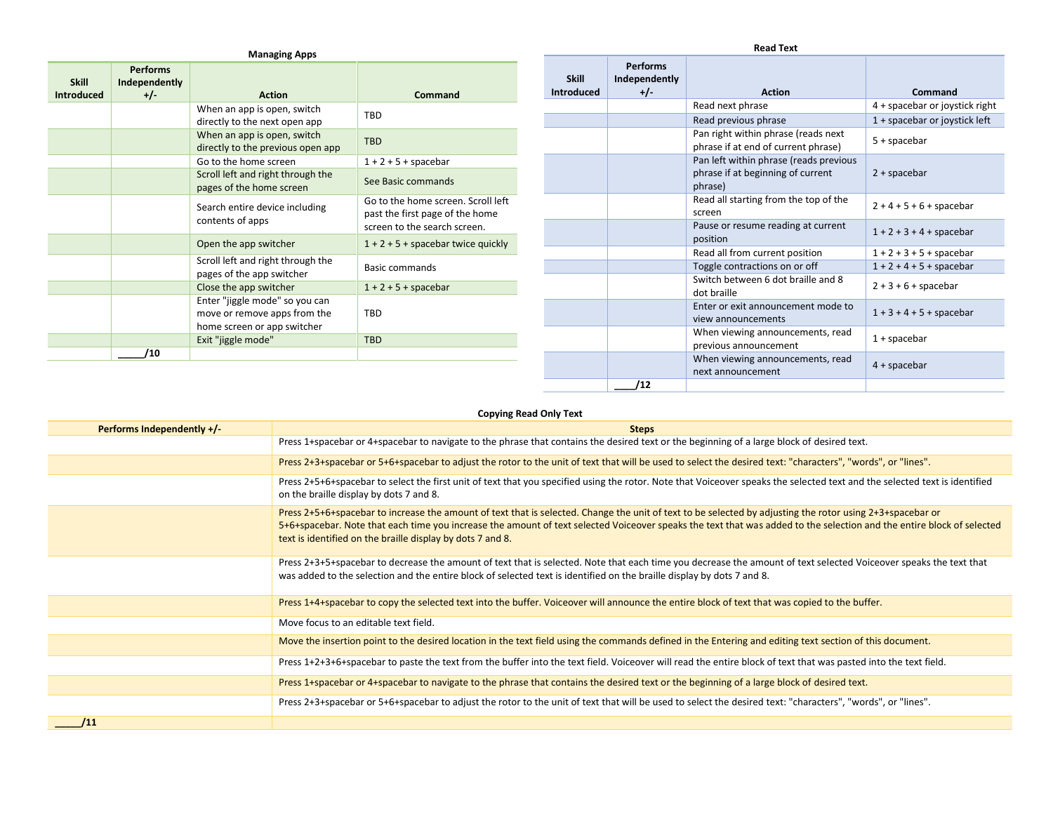| <b>Managing Apps</b>              |                                           |                                                                                               |                                                                                                       |
|-----------------------------------|-------------------------------------------|-----------------------------------------------------------------------------------------------|-------------------------------------------------------------------------------------------------------|
| <b>Skill</b><br><b>Introduced</b> | <b>Performs</b><br>Independently<br>$+/-$ | <b>Action</b>                                                                                 | Command                                                                                               |
|                                   |                                           | When an app is open, switch<br>directly to the next open app                                  | TBD                                                                                                   |
|                                   |                                           | When an app is open, switch<br>directly to the previous open app                              | <b>TBD</b>                                                                                            |
|                                   |                                           | Go to the home screen                                                                         | $1 + 2 + 5 +$ spacebar                                                                                |
|                                   |                                           | Scroll left and right through the<br>pages of the home screen                                 | See Basic commands                                                                                    |
|                                   |                                           | Search entire device including<br>contents of apps                                            | Go to the home screen. Scroll left<br>past the first page of the home<br>screen to the search screen. |
|                                   |                                           | Open the app switcher                                                                         | $1 + 2 + 5 +$ spacebar twice quickly                                                                  |
|                                   |                                           | Scroll left and right through the<br>pages of the app switcher                                | Basic commands                                                                                        |
|                                   |                                           | Close the app switcher                                                                        | $1 + 2 + 5 +$ spacebar                                                                                |
|                                   |                                           | Enter "jiggle mode" so you can<br>move or remove apps from the<br>home screen or app switcher | TBD                                                                                                   |
|                                   |                                           | Exit "jiggle mode"                                                                            | <b>TBD</b>                                                                                            |
|                                   | 10                                        |                                                                                               |                                                                                                       |
|                                   |                                           |                                                                                               |                                                                                                       |

| <b>Skill</b>      | <b>Performs</b><br>Independently |                                                                                        |                                |
|-------------------|----------------------------------|----------------------------------------------------------------------------------------|--------------------------------|
| <b>Introduced</b> | $+/-$                            | <b>Action</b>                                                                          | Command                        |
|                   |                                  | Read next phrase                                                                       | 4 + spacebar or joystick right |
|                   |                                  | Read previous phrase                                                                   | 1 + spacebar or joystick left  |
|                   |                                  | Pan right within phrase (reads next<br>phrase if at end of current phrase)             | $5 +$ spacebar                 |
|                   |                                  | Pan left within phrase (reads previous<br>phrase if at beginning of current<br>phrase) | $2 +$ spacebar                 |
|                   |                                  | Read all starting from the top of the<br>screen                                        | $2 + 4 + 5 + 6 +$ spacebar     |
|                   |                                  | Pause or resume reading at current<br>position                                         | $1 + 2 + 3 + 4 +$ spacebar     |
|                   |                                  | Read all from current position                                                         | $1 + 2 + 3 + 5 +$ spacebar     |
|                   |                                  | Toggle contractions on or off                                                          | $1 + 2 + 4 + 5 +$ spacebar     |
|                   |                                  | Switch between 6 dot braille and 8<br>dot braille                                      | $2 + 3 + 6 +$ spacebar         |
|                   |                                  | Enter or exit announcement mode to<br>view announcements                               | $1 + 3 + 4 + 5 +$ spacebar     |
|                   |                                  | When viewing announcements, read<br>previous announcement                              | $1 +$ spacebar                 |
|                   |                                  | When viewing announcements, read<br>next announcement                                  | $4 +$ spacebar                 |
|                   | '12                              |                                                                                        |                                |

## **Copying Read Only Text**

| <b>Performs Independently +/-</b> | <b>Steps</b>                                                                                                                                                                                                                                                                                                                                                                                     |
|-----------------------------------|--------------------------------------------------------------------------------------------------------------------------------------------------------------------------------------------------------------------------------------------------------------------------------------------------------------------------------------------------------------------------------------------------|
|                                   | Press 1+spacebar or 4+spacebar to navigate to the phrase that contains the desired text or the beginning of a large block of desired text.                                                                                                                                                                                                                                                       |
|                                   | Press 2+3+spacebar or 5+6+spacebar to adjust the rotor to the unit of text that will be used to select the desired text: "characters", "words", or "lines".                                                                                                                                                                                                                                      |
|                                   | Press 2+5+6+spacebar to select the first unit of text that you specified using the rotor. Note that Voiceover speaks the selected text and the selected text is identified<br>on the braille display by dots 7 and 8.                                                                                                                                                                            |
|                                   | Press 2+5+6+spacebar to increase the amount of text that is selected. Change the unit of text to be selected by adjusting the rotor using 2+3+spacebar or<br>5+6+spacebar. Note that each time you increase the amount of text selected Voiceover speaks the text that was added to the selection and the entire block of selected<br>text is identified on the braille display by dots 7 and 8. |
|                                   | Press 2+3+5+spacebar to decrease the amount of text that is selected. Note that each time you decrease the amount of text selected Voiceover speaks the text that<br>was added to the selection and the entire block of selected text is identified on the braille display by dots 7 and 8.                                                                                                      |
|                                   | Press 1+4+spacebar to copy the selected text into the buffer. Voiceover will announce the entire block of text that was copied to the buffer.                                                                                                                                                                                                                                                    |
|                                   | Move focus to an editable text field.                                                                                                                                                                                                                                                                                                                                                            |
|                                   | Move the insertion point to the desired location in the text field using the commands defined in the Entering and editing text section of this document.                                                                                                                                                                                                                                         |
|                                   | Press 1+2+3+6+spacebar to paste the text from the buffer into the text field. Voiceover will read the entire block of text that was pasted into the text field.                                                                                                                                                                                                                                  |
|                                   | Press 1+spacebar or 4+spacebar to navigate to the phrase that contains the desired text or the beginning of a large block of desired text.                                                                                                                                                                                                                                                       |
|                                   | Press 2+3+spacebar or 5+6+spacebar to adjust the rotor to the unit of text that will be used to select the desired text: "characters", "words", or "lines".                                                                                                                                                                                                                                      |
| /11                               |                                                                                                                                                                                                                                                                                                                                                                                                  |

## **Read Text**